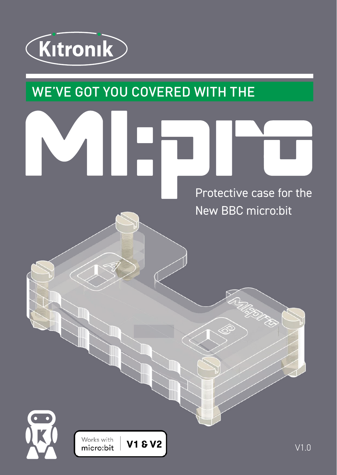

## WE'VE GOT YOU COVERED WITH THE

Protective case for the New BBC micro:bit

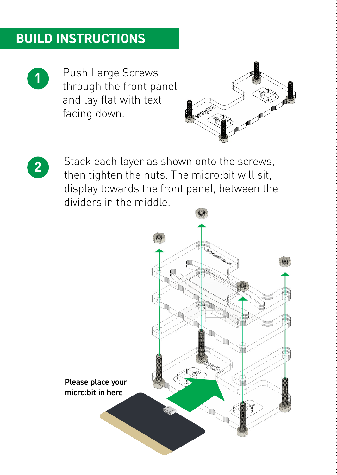## **BUILD INSTRUCTIONS**



**1** Push Large Screws through the front panel and lay flat with text facing down.





Stack each layer as shown onto the screws, then tighten the nuts. The micro:bit will sit, display towards the front panel, between the dividers in the middle.

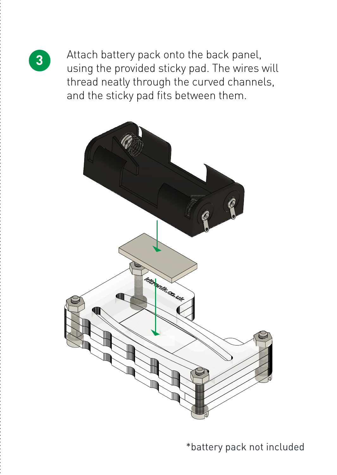

**3** Attach battery pack onto the back panel, using the provided sticky pad. The wires will thread neatly through the curved channels, and the sticky pad fits between them.



\*battery pack not included